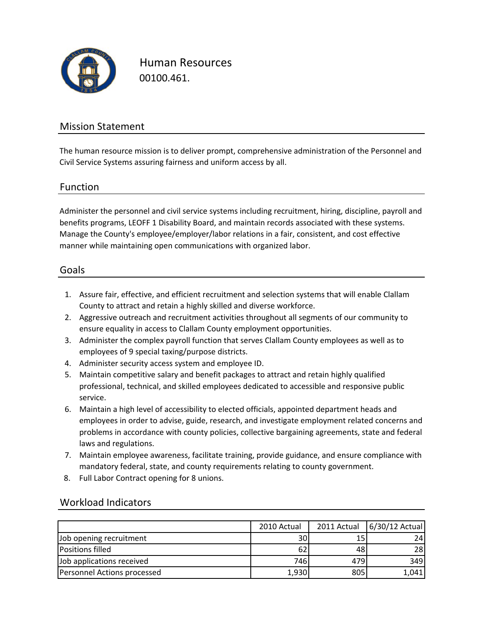

Human Resources 00100.461.

### Mission Statement

The human resource mission is to deliver prompt, comprehensive administration of the Personnel and Civil Service Systems assuring fairness and uniform access by all.

### Function

Administer the personnel and civil service systems including recruitment, hiring, discipline, payroll and benefits programs, LEOFF 1 Disability Board, and maintain records associated with these systems. Manage the County's employee/employer/labor relations in a fair, consistent, and cost effective manner while maintaining open communications with organized labor.

#### Goals

- 1. Assure fair, effective, and efficient recruitment and selection systems that will enable Clallam County to attract and retain a highly skilled and diverse workforce.
- 2. Aggressive outreach and recruitment activities throughout all segments of our community to ensure equality in access to Clallam County employment opportunities.
- 3. Administer the complex payroll function that serves Clallam County employees as well as to employees of 9 special taxing/purpose districts.
- 4. Administer security access system and employee ID.
- 5. Maintain competitive salary and benefit packages to attract and retain highly qualified professional, technical, and skilled employees dedicated to accessible and responsive public service.
- 6. Maintain a high level of accessibility to elected officials, appointed department heads and employees in order to advise, guide, research, and investigate employment related concerns and problems in accordance with county policies, collective bargaining agreements, state and federal laws and regulations.
- 7. Maintain employee awareness, facilitate training, provide guidance, and ensure compliance with mandatory federal, state, and county requirements relating to county government.
- 8. Full Labor Contract opening for 8 unions.

|                             | 2010 Actual     | 2011 Actual | $6/30/12$ Actual |
|-----------------------------|-----------------|-------------|------------------|
| Job opening recruitment     | 30 <sup>1</sup> | 15          | 241              |
| <b>Positions filled</b>     | 62              | 48          | 28               |
| Job applications received   | 746 I           | 4791        | 349              |
| Personnel Actions processed | 1,930           | 805         | 1,041            |

### Workload Indicators